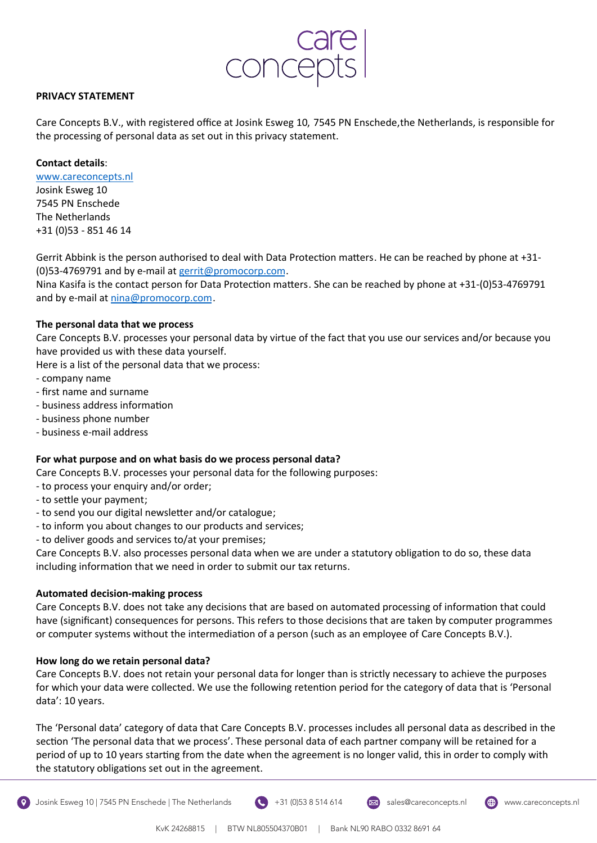

## **PRIVACY STATEMENT**

Care Concepts B.V., with registered office at Josink Esweg 10, 7545 PN Enschede, the Netherlands, is responsible for the processing of personal data as set out in this privacy statement.

## **Contact details**:

www.careconcepts.nl

Josink Esweg 10 7545 PN Enschede The Netherlands +31 (0)53 - 851 46 14

Gerrit Abbink is the person authorised to deal with Data Protection matters. He can be reached by phone at +31-(0)53-4769791 and by e-mail at gerrit@promocorp.com.

Nina Kasifa is the contact person for Data Protection matters. She can be reached by phone at +31-(0)53-4769791 and by e-mail at nina@promocorp.com.

# **The personal data that we process**

Care Concepts B.V. processes your personal data by virtue of the fact that you use our services and/or because you have provided us with these data yourself.

Here is a list of the personal data that we process:

- company name
- first name and surname
- business address information
- business phone number
- business e-mail address

## **For what purpose and on what basis do we process personal data?**

Care Concepts B.V. processes your personal data for the following purposes:

- to process your enquiry and/or order;
- to settle your payment;
- to send you our digital newsletter and/or catalogue;
- to inform you about changes to our products and services;
- to deliver goods and services to/at your premises;

Care Concepts B.V. also processes personal data when we are under a statutory obligation to do so, these data including information that we need in order to submit our tax returns.

## **Automated decision-making process**

Care Concepts B.V. does not take any decisions that are based on automated processing of information that could have (significant) consequences for persons. This refers to those decisions that are taken by computer programmes or computer systems without the intermediation of a person (such as an employee of Care Concepts B.V.).

## **How long do we retain personal data?**

Care Concepts B.V. does not retain your personal data for longer than is strictly necessary to achieve the purposes for which your data were collected. We use the following retention period for the category of data that is 'Personal data': 10 years.

The 'Personal data' category of data that Care Concepts B.V. processes includes all personal data as described in the section 'The personal data that we process'. These personal data of each partner company will be retained for a period of up to 10 years starting from the date when the agreement is no longer valid, this in order to comply with the statutory obligations set out in the agreement.